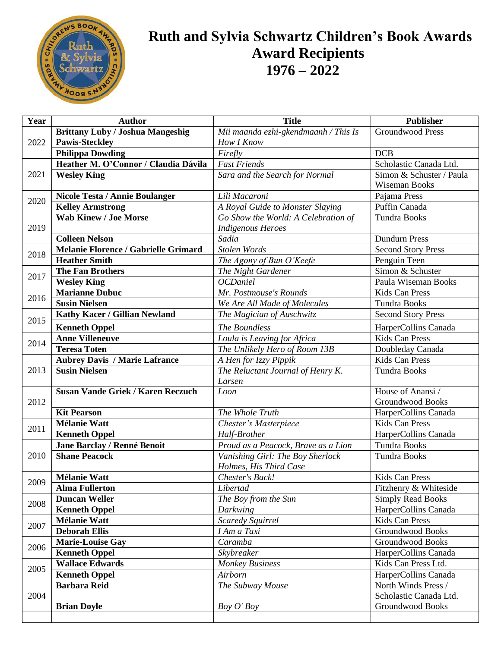

## **Ruth and Sylvia Schwartz Children's Book Awards Award Recipients 1976 – 2022**

| Year         | <b>Author</b>                                | <b>Title</b>                          | <b>Publisher</b>                        |
|--------------|----------------------------------------------|---------------------------------------|-----------------------------------------|
|              | <b>Brittany Luby / Joshua Mangeshig</b>      | Mii maanda ezhi-gkendmaanh / This Is  | Groundwood Press                        |
| 2022         | <b>Pawis-Steckley</b>                        | How I Know                            |                                         |
|              | <b>Philippa Dowding</b>                      | Firefly                               | <b>DCB</b>                              |
|              | Heather M. O'Connor / Claudia Dávila         | <b>Fast Friends</b>                   | Scholastic Canada Ltd.                  |
| 2021         | <b>Wesley King</b>                           | Sara and the Search for Normal        | Simon & Schuster / Paula                |
|              |                                              |                                       | Wiseman Books                           |
| 2020         | <b>Nicole Testa / Annie Boulanger</b>        | Lili Macaroni                         | Pajama Press                            |
|              | <b>Kelley Armstrong</b>                      | A Royal Guide to Monster Slaying      | Puffin Canada                           |
| 2019         | <b>Wab Kinew / Joe Morse</b>                 | Go Show the World: A Celebration of   | <b>Tundra Books</b>                     |
|              | <b>Colleen Nelson</b>                        | <b>Indigenous Heroes</b><br>Sadia     | <b>Dundurn Press</b>                    |
|              | Melanie Florence / Gabrielle Grimard         | Stolen Words                          | <b>Second Story Press</b>               |
| 2018<br>2017 | <b>Heather Smith</b>                         | The Agony of Bun O'Keefe              | Penguin Teen                            |
|              | <b>The Fan Brothers</b>                      |                                       | Simon & Schuster                        |
|              | <b>Wesley King</b>                           | The Night Gardener<br><b>OCDaniel</b> | Paula Wiseman Books                     |
|              | <b>Marianne Dubuc</b>                        | Mr. Postmouse's Rounds                | Kids Can Press                          |
| 2016         | <b>Susin Nielsen</b>                         |                                       | <b>Tundra Books</b>                     |
|              |                                              | We Are All Made of Molecules          | <b>Second Story Press</b>               |
| 2015         | Kathy Kacer / Gillian Newland                | The Magician of Auschwitz             |                                         |
|              | <b>Kenneth Oppel</b>                         | The Boundless                         | HarperCollins Canada                    |
| 2014         | <b>Anne Villeneuve</b>                       | Loula is Leaving for Africa           | <b>Kids Can Press</b>                   |
|              | <b>Teresa Toten</b>                          | The Unlikely Hero of Room 13B         | Doubleday Canada                        |
|              | <b>Aubrey Davis / Marie Lafrance</b>         | A Hen for Izzy Pippik                 | Kids Can Press                          |
| 2013         | <b>Susin Nielsen</b>                         | The Reluctant Journal of Henry K.     | <b>Tundra Books</b>                     |
|              |                                              | Larsen                                |                                         |
|              | <b>Susan Vande Griek / Karen Reczuch</b>     | Loon                                  | House of Anansi /                       |
| 2012         |                                              |                                       | <b>Groundwood Books</b>                 |
|              | <b>Kit Pearson</b>                           | The Whole Truth                       | HarperCollins Canada                    |
| 2011         | <b>Mélanie Watt</b>                          | Chester's Masterpiece                 | Kids Can Press                          |
|              | <b>Kenneth Oppel</b>                         | Half-Brother                          | HarperCollins Canada                    |
|              | Jane Barclay / Renné Benoit                  | Proud as a Peacock, Brave as a Lion   | <b>Tundra Books</b>                     |
| 2010         | <b>Shane Peacock</b>                         | Vanishing Girl: The Boy Sherlock      | <b>Tundra Books</b>                     |
|              |                                              | Holmes, His Third Case                |                                         |
| 2009         | <b>Mélanie Watt</b><br><b>Alma Fullerton</b> | Chester's Back!<br>Libertad           | Kids Can Press<br>Fitzhenry & Whiteside |
|              | <b>Duncan Weller</b>                         | The Boy from the Sun                  | Simply Read Books                       |
| 2008         | <b>Kenneth Oppel</b>                         | Darkwing                              | HarperCollins Canada                    |
|              | <b>Mélanie Watt</b>                          | Scaredy Squirrel                      | Kids Can Press                          |
| 2007         | <b>Deborah Ellis</b>                         | I Am a Taxi                           | <b>Groundwood Books</b>                 |
|              | <b>Marie-Louise Gay</b>                      | Caramba                               | <b>Groundwood Books</b>                 |
| 2006         | <b>Kenneth Oppel</b>                         | Skybreaker                            | HarperCollins Canada                    |
| 2005         | <b>Wallace Edwards</b>                       | <b>Monkey Business</b>                | Kids Can Press Ltd.                     |
|              | <b>Kenneth Oppel</b>                         | Airborn                               | HarperCollins Canada                    |
| 2004         | <b>Barbara Reid</b>                          | The Subway Mouse                      | North Winds Press /                     |
|              |                                              |                                       | Scholastic Canada Ltd.                  |
|              | <b>Brian Doyle</b>                           | Boy O' Boy                            | Groundwood Books                        |
|              |                                              |                                       |                                         |